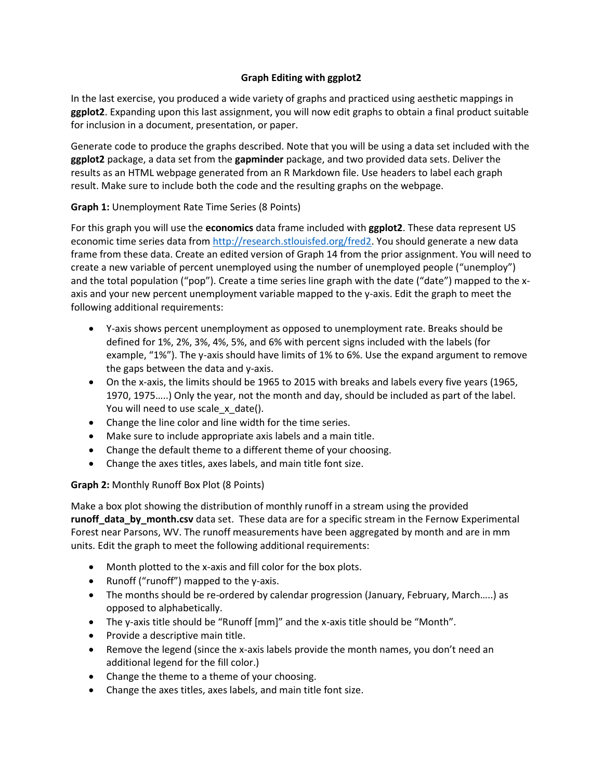### **Graph Editing with ggplot2**

In the last exercise, you produced a wide variety of graphs and practiced using aesthetic mappings in **ggplot2**. Expanding upon this last assignment, you will now edit graphs to obtain a final product suitable for inclusion in a document, presentation, or paper.

Generate code to produce the graphs described. Note that you will be using a data set included with the **ggplot2** package, a data set from the **gapminder** package, and two provided data sets. Deliver the results as an HTML webpage generated from an R Markdown file. Use headers to label each graph result. Make sure to include both the code and the resulting graphs on the webpage.

#### **Graph 1:** Unemployment Rate Time Series (8 Points)

For this graph you will use the **economics** data frame included with **ggplot2**. These data represent US economic time series data from [http://research.stlouisfed.org/fred2.](http://research.stlouisfed.org/fred2) You should generate a new data frame from these data. Create an edited version of Graph 14 from the prior assignment. You will need to create a new variable of percent unemployed using the number of unemployed people ("unemploy") and the total population ("pop"). Create a time series line graph with the date ("date") mapped to the xaxis and your new percent unemployment variable mapped to the y-axis. Edit the graph to meet the following additional requirements:

- Y-axis shows percent unemployment as opposed to unemployment rate. Breaks should be defined for 1%, 2%, 3%, 4%, 5%, and 6% with percent signs included with the labels (for example, "1%"). The y-axis should have limits of 1% to 6%. Use the expand argument to remove the gaps between the data and y-axis.
- On the x-axis, the limits should be 1965 to 2015 with breaks and labels every five years (1965, 1970, 1975…..) Only the year, not the month and day, should be included as part of the label. You will need to use scale\_x\_date().
- Change the line color and line width for the time series.
- Make sure to include appropriate axis labels and a main title.
- Change the default theme to a different theme of your choosing.
- Change the axes titles, axes labels, and main title font size.

### **Graph 2:** Monthly Runoff Box Plot (8 Points)

Make a box plot showing the distribution of monthly runoff in a stream using the provided **runoff\_data\_by\_month.csv** data set. These data are for a specific stream in the Fernow Experimental Forest near Parsons, WV. The runoff measurements have been aggregated by month and are in mm units. Edit the graph to meet the following additional requirements:

- Month plotted to the x-axis and fill color for the box plots.
- Runoff ("runoff") mapped to the y-axis.
- The months should be re-ordered by calendar progression (January, February, March.....) as opposed to alphabetically.
- The y-axis title should be "Runoff [mm]" and the x-axis title should be "Month".
- Provide a descriptive main title.
- Remove the legend (since the x-axis labels provide the month names, you don't need an additional legend for the fill color.)
- Change the theme to a theme of your choosing.
- Change the axes titles, axes labels, and main title font size.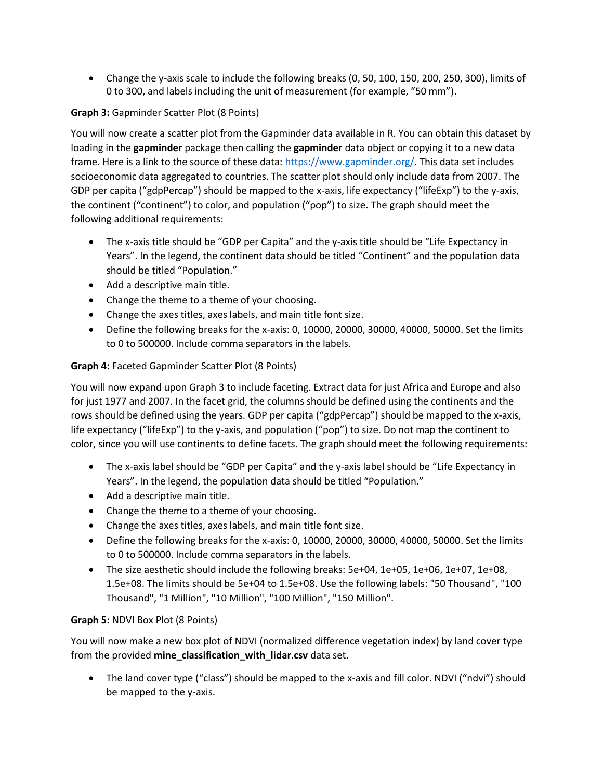• Change the y-axis scale to include the following breaks (0, 50, 100, 150, 200, 250, 300), limits of 0 to 300, and labels including the unit of measurement (for example, "50 mm").

**Graph 3:** Gapminder Scatter Plot (8 Points)

You will now create a scatter plot from the Gapminder data available in R. You can obtain this dataset by loading in the **gapminder** package then calling the **gapminder** data object or copying it to a new data frame. Here is a link to the source of these data: [https://www.gapminder.org/.](https://www.gapminder.org/) This data set includes socioeconomic data aggregated to countries. The scatter plot should only include data from 2007. The GDP per capita ("gdpPercap") should be mapped to the x-axis, life expectancy ("lifeExp") to the y-axis, the continent ("continent") to color, and population ("pop") to size. The graph should meet the following additional requirements:

- The x-axis title should be "GDP per Capita" and the y-axis title should be "Life Expectancy in Years". In the legend, the continent data should be titled "Continent" and the population data should be titled "Population."
- Add a descriptive main title.
- Change the theme to a theme of your choosing.
- Change the axes titles, axes labels, and main title font size.
- Define the following breaks for the x-axis: 0, 10000, 20000, 30000, 40000, 50000. Set the limits to 0 to 500000. Include comma separators in the labels.

# **Graph 4:** Faceted Gapminder Scatter Plot (8 Points)

You will now expand upon Graph 3 to include faceting. Extract data for just Africa and Europe and also for just 1977 and 2007. In the facet grid, the columns should be defined using the continents and the rows should be defined using the years. GDP per capita ("gdpPercap") should be mapped to the x-axis, life expectancy ("lifeExp") to the y-axis, and population ("pop") to size. Do not map the continent to color, since you will use continents to define facets. The graph should meet the following requirements:

- The x-axis label should be "GDP per Capita" and the y-axis label should be "Life Expectancy in Years". In the legend, the population data should be titled "Population."
- Add a descriptive main title.
- Change the theme to a theme of your choosing.
- Change the axes titles, axes labels, and main title font size.
- Define the following breaks for the x-axis: 0, 10000, 20000, 30000, 40000, 50000. Set the limits to 0 to 500000. Include comma separators in the labels.
- The size aesthetic should include the following breaks: 5e+04, 1e+05, 1e+06, 1e+07, 1e+08, 1.5e+08. The limits should be 5e+04 to 1.5e+08. Use the following labels: "50 Thousand", "100 Thousand", "1 Million", "10 Million", "100 Million", "150 Million".

# **Graph 5:** NDVI Box Plot (8 Points)

You will now make a new box plot of NDVI (normalized difference vegetation index) by land cover type from the provided **mine\_classification\_with\_lidar.csv** data set.

• The land cover type ("class") should be mapped to the x-axis and fill color. NDVI ("ndvi") should be mapped to the y-axis.